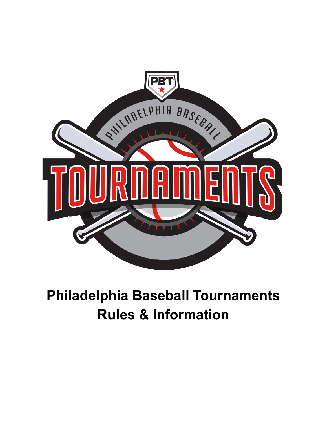

# **Philadelphia Baseball Tournaments Rules & Information**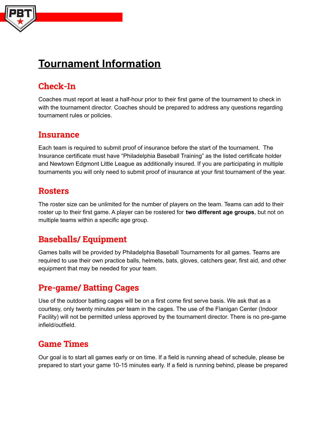

# **Tournament Information**

## **Check-In**

Coaches must report at least a half-hour prior to their first game of the tournament to check in with the tournament director. Coaches should be prepared to address any questions regarding tournament rules or policies.

### **Insurance**

Each team is required to submit proof of insurance before the start of the tournament. The Insurance certificate must have "Philadelphia Baseball Training" as the listed certificate holder and Newtown Edgmont Little League as additionally insured. If you are participating in multiple tournaments you will only need to submit proof of insurance at your first tournament of the year.

### **Rosters**

The roster size can be unlimited for the number of players on the team. Teams can add to their roster up to their first game. A player can be rostered for **two different age groups**, but not on multiple teams within a specific age group.

### **Baseballs/ Equipment**

Games balls will be provided by Philadelphia Baseball Tournaments for all games. Teams are required to use their own practice balls, helmets, bats, gloves, catchers gear, first aid, and other equipment that may be needed for your team.

### **Pre-game/ Batting Cages**

Use of the outdoor batting cages will be on a first come first serve basis. We ask that as a courtesy, only twenty minutes per team in the cages. The use of the Flanigan Center (Indoor Facility) will not be permitted unless approved by the tournament director. There is no pre-game infield/outfield.

### **Game Times**

Our goal is to start all games early or on time. If a field is running ahead of schedule, please be prepared to start your game 10-15 minutes early. If a field is running behind, please be prepared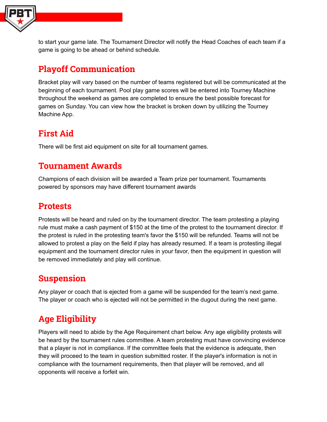

to start your game late. The Tournament Director will notify the Head Coaches of each team if a game is going to be ahead or behind schedule.

### **Playoff Communication**

Bracket play will vary based on the number of teams registered but will be communicated at the beginning of each tournament. Pool play game scores will be entered into Tourney Machine throughout the weekend as games are completed to ensure the best possible forecast for games on Sunday. You can view how the bracket is broken down by utilizing the Tourney Machine App.

# **First Aid**

There will be first aid equipment on site for all tournament games.

### **Tournament Awards**

Champions of each division will be awarded a Team prize per tournament. Tournaments powered by sponsors may have different tournament awards

### **Protests**

Protests will be heard and ruled on by the tournament director. The team protesting a playing rule must make a cash payment of \$150 at the time of the protest to the tournament director. If the protest is ruled in the protesting team's favor the \$150 will be refunded. Teams will not be allowed to protest a play on the field if play has already resumed. If a team is protesting illegal equipment and the tournament director rules in your favor, then the equipment in question will be removed immediately and play will continue.

### **Suspension**

Any player or coach that is ejected from a game will be suspended for the team's next game. The player or coach who is ejected will not be permitted in the dugout during the next game.

# **Age Eligibility**

Players will need to abide by the Age Requirement chart below. Any age eligibility protests will be heard by the tournament rules committee. A team protesting must have convincing evidence that a player is not in compliance. If the committee feels that the evidence is adequate, then they will proceed to the team in question submitted roster. If the player's information is not in compliance with the tournament requirements, then that player will be removed, and all opponents will receive a forfeit win.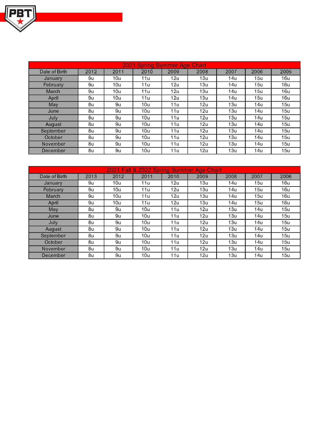

| 2021 Spring Summer Age Chart |                |                 |                 |                 |      |                 |      |      |
|------------------------------|----------------|-----------------|-----------------|-----------------|------|-----------------|------|------|
| Date of Birth                | 2012           | 2011            | 2010            | 2009            | 2008 | 2007            | 2006 | 2005 |
| January                      | 9u             | 10u             | 11u             | 12u             | 13u  | 14 <sub>u</sub> | 15u  | 16u  |
| February                     | 9u             | 10u             | 11u             | 12u             | 13u  | 14u             | 15u  | 16u  |
| March                        | 9 <sub>u</sub> | 10 <sub>u</sub> | 11u             | 12 <sub>u</sub> | 13u  | 14u             | 15u  | 16u  |
| April                        | 9u             | 10u             | 11u             | 12u             | 13u  | 14u             | 15u  | 16u  |
| May                          | 8u             | 9u              | 10u             | 11u             | 12u  | 13u             | 14u  | 15u  |
| June                         | 8u             | 9u              | 10u             | 11u             | 12u  | 13u             | 14u  | 15u  |
| July                         | 8u             | 9u              | 10u             | 11u             | 12u  | 13u             | 14u  | 15u  |
| August                       | 8u             | 9u              | 10 <sub>u</sub> | 11u             | 12u  | 13 <sub>u</sub> | 14u  | 15u  |
| September                    | 8u             | 9u              | 10u             | 11u             | 12u  | 13u             | 14u  | 15u  |
| October                      | 8u             | 9u              | 10u             | 11u             | 12u  | 13 <sub>u</sub> | 14u  | 15u  |
| November                     | 8u             | 9u              | 10u             | 11 <sub>u</sub> | 12u  | 13u             | 14u  | 15u  |
| December                     | 8u             | 9u              | 10u             | 11u             | 12u  | 13 <sub>u</sub> | 14u  | 15u  |

| 2021 Fall & 2022 Spring Summer Age Chart |                |      |                 |                 |                 |                 |                 |                 |
|------------------------------------------|----------------|------|-----------------|-----------------|-----------------|-----------------|-----------------|-----------------|
| Date of Birth                            | 2013           | 2012 | 2011            | 2010            | 2009            | 2008            | 2007            | 2006            |
| January                                  | 9u             | 10u  | 11 <sub>u</sub> | 12 <sub>u</sub> | 13 <sub>u</sub> | 14u             | 15u             | 16u             |
| <b>February</b>                          | 9 <sub>U</sub> | 10u  | 11 <sub>u</sub> | 12u             | 13 <sub>u</sub> | 14u             | 15u             | 16 <sub>u</sub> |
| March                                    | 9u             | 10u  | 11u             | 12u             | 13u             | 14u             | 15u             | 16u             |
| April                                    | 9u             | 10u  | 11 <sub>u</sub> | 12u             | 13 <sub>u</sub> | 14 <sub>u</sub> | 15u             | 16u             |
| May                                      | 8u             | 9u   | 10u             | 11u             | 12u             | 13u             | 14u             | 15u             |
| June                                     | 8 <sub>u</sub> | 9u   | 10u             | 11u             | 12u             | 13u             | 14u             | 15u             |
| July                                     | 8u             | 9u   | 10u             | 11u             | 12 <sub>u</sub> | 13u             | 14u             | 15u             |
| August                                   | 8u             | 9u   | 10u             | 11u             | 12u             | 13u             | 14u             | 15u             |
| September                                | 8u             | 9u   | 10u             | 11u             | 12 <sub>u</sub> | 13u             | 14 <sub>u</sub> | 15u             |
| October                                  | 8 <sub>U</sub> | 9u   | 10u             | 11u             | 12u             | 13u             | 14u             | 15u             |
| November                                 | 8u             | 9u   | 10u             | 11u             | 12 <sub>u</sub> | 13u             | 14 <sub>u</sub> | 15 <sub>u</sub> |
| December                                 | 8u             | 9u   | 10u             | 11u             | 12u             | 13u             | 14u             | 15u             |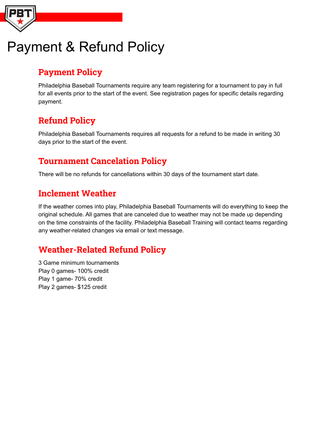

# Payment & Refund Policy

### **Payment Policy**

Philadelphia Baseball Tournaments require any team registering for a tournament to pay in full for all events prior to the start of the event. See registration pages for specific details regarding payment.

# **Refund Policy**

Philadelphia Baseball Tournaments requires all requests for a refund to be made in writing 30 days prior to the start of the event.

### **Tournament Cancelation Policy**

There will be no refunds for cancellations within 30 days of the tournament start date.

### **Inclement Weather**

If the weather comes into play, Philadelphia Baseball Tournaments will do everything to keep the original schedule. All games that are canceled due to weather may not be made up depending on the time constraints of the facility. Philadelphia Baseball Training will contact teams regarding any weather-related changes via email or text message.

## **Weather-Related Refund Policy**

3 Game minimum tournaments Play 0 games- 100% credit Play 1 game- 70% credit Play 2 games- \$125 credit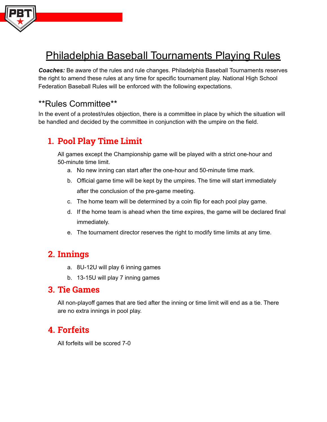

# Philadelphia Baseball Tournaments Playing Rules

*Coaches:* Be aware of the rules and rule changes. Philadelphia Baseball Tournaments reserves the right to amend these rules at any time for specific tournament play. National High School Federation Baseball Rules will be enforced with the following expectations.

### \*\*Rules Committee\*\*

In the event of a protest/rules objection, there is a committee in place by which the situation will be handled and decided by the committee in conjunction with the umpire on the field.

### **1. Pool Play Time Limit**

All games except the Championship game will be played with a strict one-hour and 50-minute time limit.

- a. No new inning can start after the one-hour and 50-minute time mark.
- b. Official game time will be kept by the umpires. The time will start immediately after the conclusion of the pre-game meeting.
- c. The home team will be determined by a coin flip for each pool play game.
- d. If the home team is ahead when the time expires, the game will be declared final immediately.
- e. The tournament director reserves the right to modify time limits at any time.

### **2. Innings**

- a. 8U-12U will play 6 inning games
- b. 13-15U will play 7 inning games

### **3. Tie Games**

All non-playoff games that are tied after the inning or time limit will end as a tie. There are no extra innings in pool play.

### **4. Forfeits**

All forfeits will be scored 7-0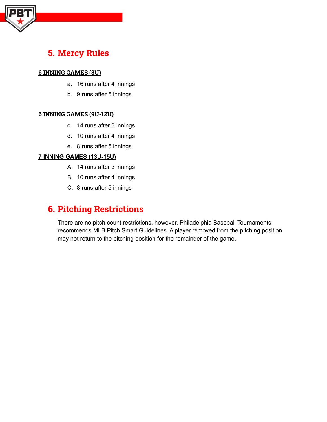

### **5. Mercy Rules**

#### **6 INNING GAMES (8U)**

- a. 16 runs after 4 innings
- b. 9 runs after 5 innings

#### **6 INNING GAMES (9U-12U)**

- c. 14 runs after 3 innings
- d. 10 runs after 4 innings
- e. 8 runs after 5 innings

#### **7 INNING GAMES (13U-15U)**

- A. 14 runs after 3 innings
- B. 10 runs after 4 innings
- C. 8 runs after 5 innings

### **6. Pitching Restrictions**

There are no pitch count restrictions, however, Philadelphia Baseball Tournaments recommends MLB Pitch Smart Guidelines. A player removed from the pitching position may not return to the pitching position for the remainder of the game.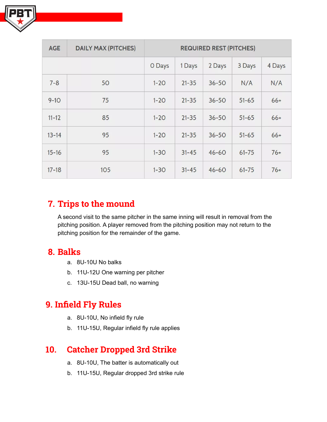

| <b>AGE</b> | <b>DAILY MAX (PITCHES)</b> | <b>REQUIRED REST (PITCHES)</b> |           |           |           |        |
|------------|----------------------------|--------------------------------|-----------|-----------|-----------|--------|
|            |                            | O Days                         | 1 Days    | 2 Days    | 3 Days    | 4 Days |
| $7 - 8$    | 50                         | $1 - 20$                       | $21 - 35$ | $36 - 50$ | N/A       | N/A    |
| $9 - 10$   | 75                         | $1 - 20$                       | $21 - 35$ | $36 - 50$ | $51 - 65$ | $66+$  |
| $11 - 12$  | 85                         | $1 - 20$                       | $21 - 35$ | $36 - 50$ | $51 - 65$ | $66+$  |
| $13 - 14$  | 95                         | $1 - 20$                       | $21 - 35$ | $36 - 50$ | $51 - 65$ | $66+$  |
| $15 - 16$  | 95                         | $1 - 30$                       | $31 - 45$ | $46 - 60$ | $61 - 75$ | $76+$  |
| $17 - 18$  | 105                        | $1 - 30$                       | $31 - 45$ | $46 - 60$ | $61 - 75$ | $76+$  |

### **7. Trips to the mound**

A second visit to the same pitcher in the same inning will result in removal from the pitching position. A player removed from the pitching position may not return to the pitching position for the remainder of the game.

### **8. Balks**

- a. 8U-10U No balks
- b. 11U-12U One warning per pitcher
- c. 13U-15U Dead ball, no warning

### **9. Infield Fly Rules**

- a. 8U-10U, No infield fly rule
- b. 11U-15U, Regular infield fly rule applies

### **10. Catcher Dropped 3rd Strike**

- a. 8U-10U, The batter is automatically out
- b. 11U-15U, Regular dropped 3rd strike rule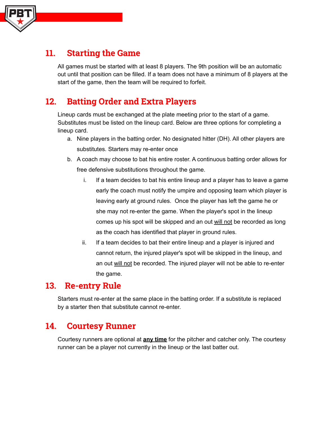

### **11. Starting the Game**

All games must be started with at least 8 players. The 9th position will be an automatic out until that position can be filled. If a team does not have a minimum of 8 players at the start of the game, then the team will be required to forfeit.

### **12. Batting Order and Extra Players**

Lineup cards must be exchanged at the plate meeting prior to the start of a game. Substitutes must be listed on the lineup card. Below are three options for completing a lineup card.

- a. Nine players in the batting order. No designated hitter (DH). All other players are substitutes. Starters may re-enter once
- b. A coach may choose to bat his entire roster. A continuous batting order allows for free defensive substitutions throughout the game.
	- i. If a team decides to bat his entire lineup and a player has to leave a game early the coach must notify the umpire and opposing team which player is leaving early at ground rules. Once the player has left the game he or she may not re-enter the game. When the player's spot in the lineup comes up his spot will be skipped and an out will not be recorded as long as the coach has identified that player in ground rules.
	- ii. If a team decides to bat their entire lineup and a player is injured and cannot return, the injured player's spot will be skipped in the lineup, and an out will not be recorded. The injured player will not be able to re-enter the game.

### **13. Re-entry Rule**

Starters must re-enter at the same place in the batting order. If a substitute is replaced by a starter then that substitute cannot re-enter.

### **14. Courtesy Runner**

Courtesy runners are optional at **any time** for the pitcher and catcher only. The courtesy runner can be a player not currently in the lineup or the last batter out.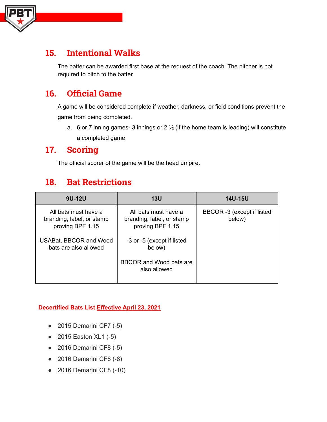

### **15. Intentional Walks**

The batter can be awarded first base at the request of the coach. The pitcher is not required to pitch to the batter

### **16. Official Game**

A game will be considered complete if weather, darkness, or field conditions prevent the game from being completed.

a. 6 or 7 inning games- 3 innings or  $2\frac{1}{2}$  (if the home team is leading) will constitute a completed game.

### **17. Scoring**

The official scorer of the game will be the head umpire.

### **18. Bat Restrictions**

| 9U-12U                                                                | <b>13U</b>                                                            | 14U-15U                              |
|-----------------------------------------------------------------------|-----------------------------------------------------------------------|--------------------------------------|
| All bats must have a<br>branding, label, or stamp<br>proving BPF 1.15 | All bats must have a<br>branding, label, or stamp<br>proving BPF 1.15 | BBCOR -3 (except if listed<br>below) |
| <b>USABat, BBCOR and Wood</b><br>bats are also allowed                | -3 or -5 (except if listed<br>below)                                  |                                      |
|                                                                       | BBCOR and Wood bats are<br>also allowed                               |                                      |

#### **Decertified Bats List Effective April 23, 2021**

- $\bullet$  2015 Demarini CF7 (-5)
- 2015 Easton XL1 (-5)
- 2016 Demarini CF8 (-5)
- 2016 Demarini CF8 (-8)
- 2016 Demarini CF8 (-10)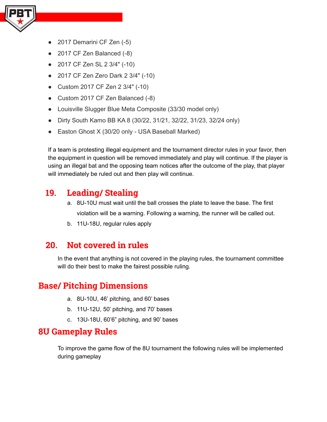

- 2017 Demarini CF Zen (-5)
- 2017 CF Zen Balanced (-8)
- 2017 CF Zen SL 2 3/4" (-10)
- 2017 CF Zen Zero Dark 2 3/4" (-10)
- Custom 2017 CF Zen 2 3/4" (-10)
- Custom 2017 CF Zen Balanced (-8)
- Louisville Slugger Blue Meta Composite (33/30 model only)
- Dirty South Kamo BB KA 8 (30/22, 31/21, 32/22, 31/23, 32/24 only)
- Easton Ghost X (30/20 only USA Baseball Marked)

If a team is protesting illegal equipment and the tournament director rules in your favor, then the equipment in question will be removed immediately and play will continue. If the player is using an illegal bat and the opposing team notices after the outcome of the play, that player will immediately be ruled out and then play will continue.

### **19. Leading/ Stealing**

- a. 8U-10U must wait until the ball crosses the plate to leave the base. The first violation will be a warning. Following a warning, the runner will be called out.
- b. 11U-18U, regular rules apply

### **20. Not covered in rules**

In the event that anything is not covered in the playing rules, the tournament committee will do their best to make the fairest possible ruling.

### **Base/ Pitching Dimensions**

- a. 8U-10U, 46' pitching, and 60' bases
- b. 11U-12U, 50' pitching, and 70' bases
- c. 13U-18U, 60'6" pitching, and 90' bases

### **8U Gameplay Rules**

To improve the game flow of the 8U tournament the following rules will be implemented during gameplay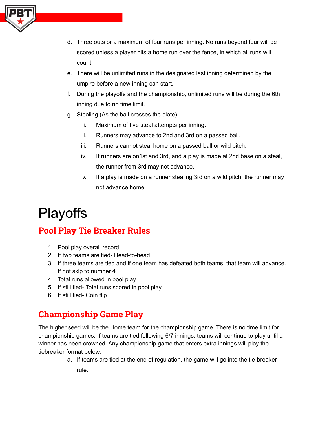

- d. Three outs or a maximum of four runs per inning. No runs beyond four will be scored unless a player hits a home run over the fence, in which all runs will count.
- e. There will be unlimited runs in the designated last inning determined by the umpire before a new inning can start.
- f. During the playoffs and the championship, unlimited runs will be during the 6th inning due to no time limit.
- g. Stealing (As the ball crosses the plate)
	- i. Maximum of five steal attempts per inning.
	- ii. Runners may advance to 2nd and 3rd on a passed ball.
	- iii. Runners cannot steal home on a passed ball or wild pitch.
	- iv. If runners are on1st and 3rd, and a play is made at 2nd base on a steal, the runner from 3rd may not advance.
	- v. If a play is made on a runner stealing 3rd on a wild pitch, the runner may not advance home.

# **Playoffs**

### **Pool Play Tie Breaker Rules**

- 1. Pool play overall record
- 2. If two teams are tied- Head-to-head
- 3. If three teams are tied and if one team has defeated both teams, that team will advance. If not skip to number 4
- 4. Total runs allowed in pool play
- 5. If still tied- Total runs scored in pool play
- 6. If still tied- Coin flip

### **Championship Game Play**

The higher seed will be the Home team for the championship game. There is no time limit for championship games. If teams are tied following 6/7 innings, teams will continue to play until a winner has been crowned. Any championship game that enters extra innings will play the tiebreaker format below.

> a. If teams are tied at the end of regulation, the game will go into the tie-breaker rule.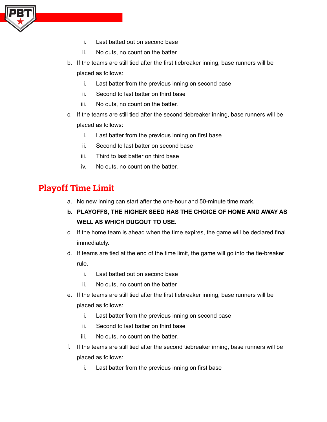

- i. Last batted out on second base
- ii. No outs, no count on the batter
- b. If the teams are still tied after the first tiebreaker inning, base runners will be placed as follows:
	- i. Last batter from the previous inning on second base
	- ii. Second to last batter on third base
	- iii. No outs, no count on the batter.
- c. If the teams are still tied after the second tiebreaker inning, base runners will be placed as follows:
	- i. Last batter from the previous inning on first base
	- ii. Second to last batter on second base
	- iii. Third to last batter on third base
	- iv. No outs, no count on the batter.

### **Playoff Time Limit**

- a. No new inning can start after the one-hour and 50-minute time mark.
- **b. PLAYOFFS, THE HIGHER SEED HAS THE CHOICE OF HOME AND AWAY AS WELL AS WHICH DUGOUT TO USE.**
- c. If the home team is ahead when the time expires, the game will be declared final immediately.
- d. If teams are tied at the end of the time limit, the game will go into the tie-breaker rule.
	- i. Last batted out on second base
	- ii. No outs, no count on the batter
- e. If the teams are still tied after the first tiebreaker inning, base runners will be placed as follows:
	- i. Last batter from the previous inning on second base
	- ii. Second to last batter on third base
	- iii. No outs, no count on the batter.
- f. If the teams are still tied after the second tiebreaker inning, base runners will be placed as follows:
	- i. Last batter from the previous inning on first base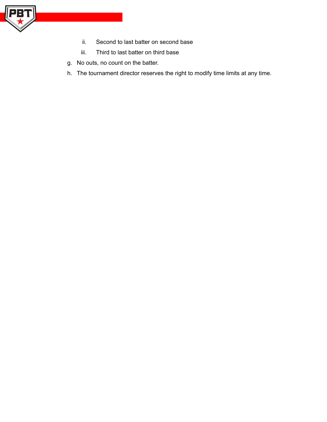

- ii. Second to last batter on second base
- iii. Third to last batter on third base
- g. No outs, no count on the batter.
- h. The tournament director reserves the right to modify time limits at any time.